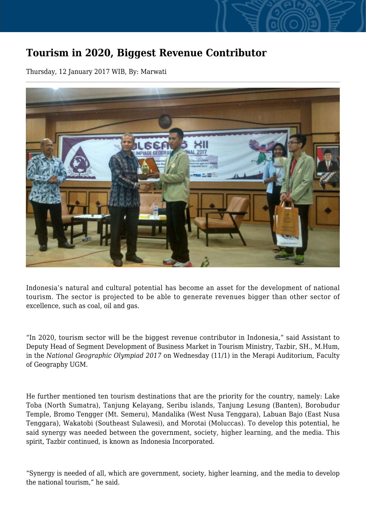## **Tourism in 2020, Biggest Revenue Contributor**

Thursday, 12 January 2017 WIB, By: Marwati



Indonesia's natural and cultural potential has become an asset for the development of national tourism. The sector is projected to be able to generate revenues bigger than other sector of excellence, such as coal, oil and gas.

"In 2020, tourism sector will be the biggest revenue contributor in Indonesia," said Assistant to Deputy Head of Segment Development of Business Market in Tourism Ministry, Tazbir, SH., M.Hum, in the *National Geographic Olympiad 2017* on Wednesday (11/1) in the Merapi Auditorium, Faculty of Geography UGM.

He further mentioned ten tourism destinations that are the priority for the country, namely: Lake Toba (North Sumatra), Tanjung Kelayang, Seribu islands, Tanjung Lesung (Banten), Borobudur Temple, Bromo Tengger (Mt. Semeru), Mandalika (West Nusa Tenggara), Labuan Bajo (East Nusa Tenggara), Wakatobi (Southeast Sulawesi), and Morotai (Moluccas). To develop this potential, he said synergy was needed between the government, society, higher learning, and the media. This spirit, Tazbir continued, is known as Indonesia Incorporated.

"Synergy is needed of all, which are government, society, higher learning, and the media to develop the national tourism," he said.